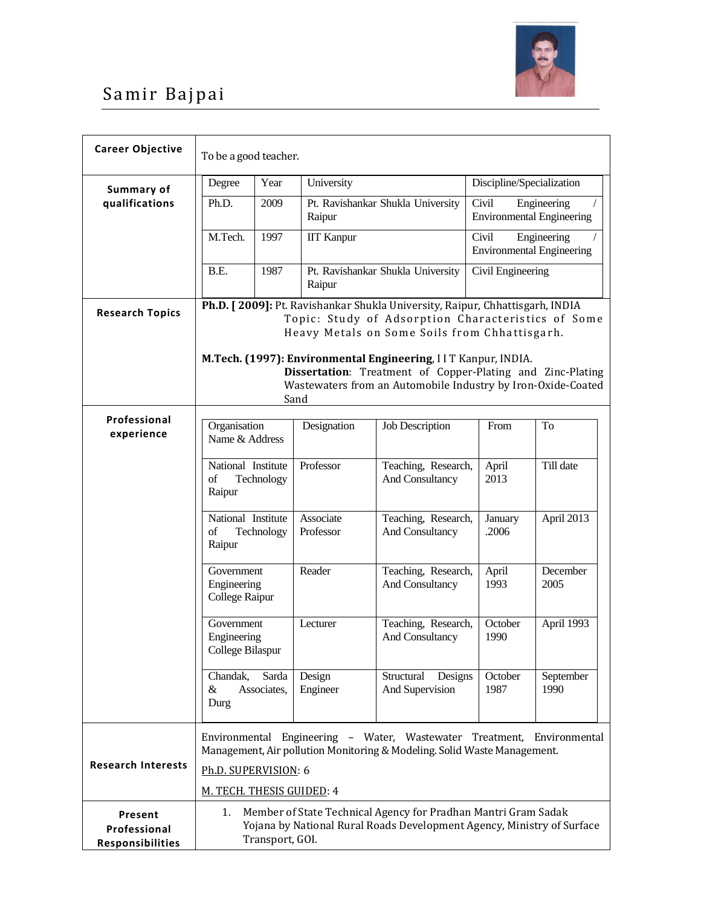

## Samir Bajpai

| <b>Career Objective</b>                     | To be a good teacher.                                                                                                                                                                                                                                                                                              |                      |                                             |                                                              |                                                          |                                                 |  |  |  |
|---------------------------------------------|--------------------------------------------------------------------------------------------------------------------------------------------------------------------------------------------------------------------------------------------------------------------------------------------------------------------|----------------------|---------------------------------------------|--------------------------------------------------------------|----------------------------------------------------------|-------------------------------------------------|--|--|--|
| Summary of                                  | Degree                                                                                                                                                                                                                                                                                                             | Year                 | University                                  |                                                              | Discipline/Specialization                                |                                                 |  |  |  |
| qualifications                              | Ph.D.<br>2009                                                                                                                                                                                                                                                                                                      |                      | Pt. Ravishankar Shukla University<br>Raipur |                                                              | Civil<br>Engineering<br><b>Environmental Engineering</b> |                                                 |  |  |  |
|                                             | M.Tech.                                                                                                                                                                                                                                                                                                            | 1997                 | <b>IIT Kanpur</b>                           |                                                              | Civil                                                    | Engineering<br><b>Environmental Engineering</b> |  |  |  |
|                                             | B.E.                                                                                                                                                                                                                                                                                                               | 1987                 | Raipur                                      | Pt. Ravishankar Shukla University                            | Civil Engineering                                        |                                                 |  |  |  |
| <b>Research Topics</b>                      | Ph.D. [2009]: Pt. Ravishankar Shukla University, Raipur, Chhattisgarh, INDIA<br>Topic: Study of Adsorption Characteristics of Some<br>Heavy Metals on Some Soils from Chhattisgarh.<br>M.Tech. (1997): Environmental Engineering, IIT Kanpur, INDIA.<br>Dissertation: Treatment of Copper-Plating and Zinc-Plating |                      |                                             |                                                              |                                                          |                                                 |  |  |  |
|                                             |                                                                                                                                                                                                                                                                                                                    |                      | Sand                                        | Wastewaters from an Automobile Industry by Iron-Oxide-Coated |                                                          |                                                 |  |  |  |
| Professional<br>experience                  | Organisation<br>Name & Address<br>National Institute<br>Technology<br>of<br>Raipur<br>National Institute<br>of<br>Technology<br>Raipur                                                                                                                                                                             |                      | Designation                                 | <b>Job Description</b>                                       | From                                                     | To                                              |  |  |  |
|                                             |                                                                                                                                                                                                                                                                                                                    |                      | Professor                                   | Teaching, Research,<br>And Consultancy                       | April<br>2013                                            | Till date                                       |  |  |  |
|                                             |                                                                                                                                                                                                                                                                                                                    |                      | Associate<br>Professor                      | Teaching, Research,<br>And Consultancy                       | January<br>.2006                                         | April 2013                                      |  |  |  |
|                                             | Government<br>Engineering<br>College Raipur                                                                                                                                                                                                                                                                        |                      | Reader                                      | Teaching, Research,<br>And Consultancy                       | April<br>1993                                            | December<br>2005                                |  |  |  |
|                                             | Government<br>Engineering<br>College Bilaspur                                                                                                                                                                                                                                                                      |                      | Lecturer                                    | Teaching, Research,<br>And Consultancy                       | October<br>1990                                          | April 1993                                      |  |  |  |
|                                             | Chandak,<br>&<br>Durg                                                                                                                                                                                                                                                                                              | Sarda<br>Associates, | Design<br>Engineer                          | Structural<br>Designs<br>And Supervision                     | October<br>1987                                          | September<br>1990                               |  |  |  |
| <b>Research Interests</b>                   | Environmental Engineering - Water, Wastewater Treatment, Environmental<br>Management, Air pollution Monitoring & Modeling. Solid Waste Management.                                                                                                                                                                 |                      |                                             |                                                              |                                                          |                                                 |  |  |  |
|                                             | Ph.D. SUPERVISION: 6                                                                                                                                                                                                                                                                                               |                      |                                             |                                                              |                                                          |                                                 |  |  |  |
|                                             | M. TECH. THESIS GUIDED: 4                                                                                                                                                                                                                                                                                          |                      |                                             |                                                              |                                                          |                                                 |  |  |  |
| Present<br>Professional<br>Responsibilities | Member of State Technical Agency for Pradhan Mantri Gram Sadak<br>1.<br>Yojana by National Rural Roads Development Agency, Ministry of Surface<br>Transport, GOI.                                                                                                                                                  |                      |                                             |                                                              |                                                          |                                                 |  |  |  |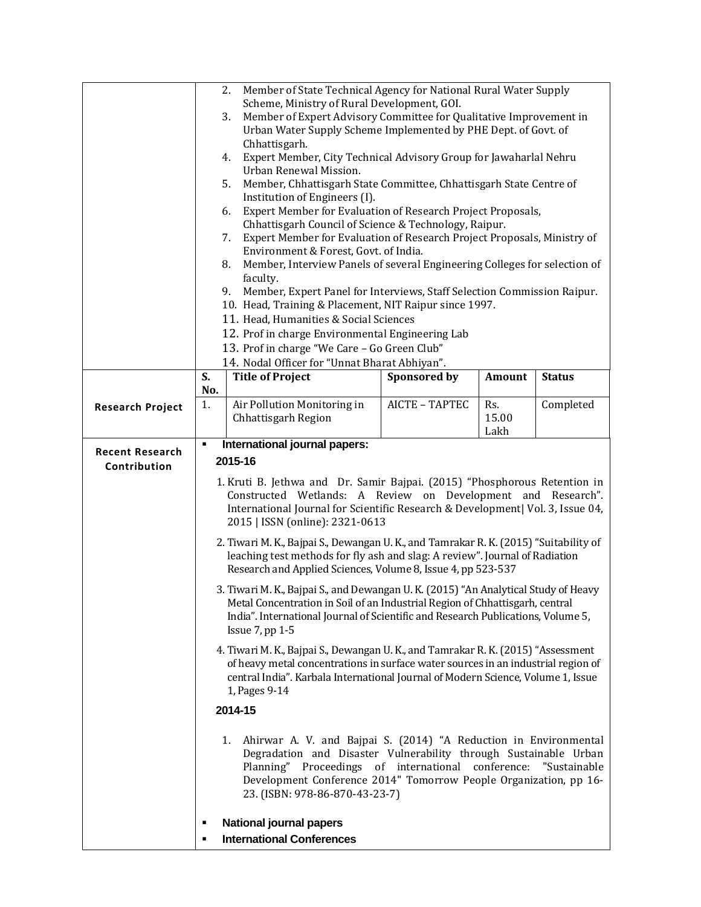|                                        | Member of State Technical Agency for National Rural Water Supply<br>2.<br>Scheme, Ministry of Rural Development, GOI.<br>Member of Expert Advisory Committee for Qualitative Improvement in<br>3.<br>Urban Water Supply Scheme Implemented by PHE Dept. of Govt. of<br>Chhattisgarh.<br>Expert Member, City Technical Advisory Group for Jawaharlal Nehru<br>4.<br>Urban Renewal Mission.<br>Member, Chhattisgarh State Committee, Chhattisgarh State Centre of<br>5.<br>Institution of Engineers (I).<br>Expert Member for Evaluation of Research Project Proposals,<br>6.<br>Chhattisgarh Council of Science & Technology, Raipur.<br>Expert Member for Evaluation of Research Project Proposals, Ministry of<br>7.<br>Environment & Forest, Govt. of India.<br>Member, Interview Panels of several Engineering Colleges for selection of<br>8. |                                                                                                                                                                                                                                                                                                         |                     |                      |               |  |
|----------------------------------------|---------------------------------------------------------------------------------------------------------------------------------------------------------------------------------------------------------------------------------------------------------------------------------------------------------------------------------------------------------------------------------------------------------------------------------------------------------------------------------------------------------------------------------------------------------------------------------------------------------------------------------------------------------------------------------------------------------------------------------------------------------------------------------------------------------------------------------------------------|---------------------------------------------------------------------------------------------------------------------------------------------------------------------------------------------------------------------------------------------------------------------------------------------------------|---------------------|----------------------|---------------|--|
|                                        | faculty.                                                                                                                                                                                                                                                                                                                                                                                                                                                                                                                                                                                                                                                                                                                                                                                                                                          |                                                                                                                                                                                                                                                                                                         |                     |                      |               |  |
|                                        | Member, Expert Panel for Interviews, Staff Selection Commission Raipur.<br>9.<br>10. Head, Training & Placement, NIT Raipur since 1997.                                                                                                                                                                                                                                                                                                                                                                                                                                                                                                                                                                                                                                                                                                           |                                                                                                                                                                                                                                                                                                         |                     |                      |               |  |
|                                        | 11. Head, Humanities & Social Sciences                                                                                                                                                                                                                                                                                                                                                                                                                                                                                                                                                                                                                                                                                                                                                                                                            |                                                                                                                                                                                                                                                                                                         |                     |                      |               |  |
|                                        | 12. Prof in charge Environmental Engineering Lab<br>13. Prof in charge "We Care - Go Green Club"                                                                                                                                                                                                                                                                                                                                                                                                                                                                                                                                                                                                                                                                                                                                                  |                                                                                                                                                                                                                                                                                                         |                     |                      |               |  |
|                                        |                                                                                                                                                                                                                                                                                                                                                                                                                                                                                                                                                                                                                                                                                                                                                                                                                                                   | 14. Nodal Officer for "Unnat Bharat Abhiyan".                                                                                                                                                                                                                                                           |                     |                      |               |  |
|                                        | S.                                                                                                                                                                                                                                                                                                                                                                                                                                                                                                                                                                                                                                                                                                                                                                                                                                                | <b>Title of Project</b>                                                                                                                                                                                                                                                                                 | <b>Sponsored by</b> | <b>Amount</b>        | <b>Status</b> |  |
| <b>Research Project</b>                | No.<br>1.                                                                                                                                                                                                                                                                                                                                                                                                                                                                                                                                                                                                                                                                                                                                                                                                                                         | Air Pollution Monitoring in<br>Chhattisgarh Region                                                                                                                                                                                                                                                      | AICTE - TAPTEC      | Rs.<br>15.00<br>Lakh | Completed     |  |
| <b>Recent Research</b><br>Contribution | International journal papers:<br>٠<br>2015-16                                                                                                                                                                                                                                                                                                                                                                                                                                                                                                                                                                                                                                                                                                                                                                                                     |                                                                                                                                                                                                                                                                                                         |                     |                      |               |  |
|                                        | 1. Kruti B. Jethwa and Dr. Samir Bajpai. (2015) "Phosphorous Retention in<br>Constructed Wetlands: A Review on Development and Research".<br>International Journal for Scientific Research & Development  Vol. 3, Issue 04,<br>2015   ISSN (online): 2321-0613                                                                                                                                                                                                                                                                                                                                                                                                                                                                                                                                                                                    |                                                                                                                                                                                                                                                                                                         |                     |                      |               |  |
|                                        | 2. Tiwari M. K., Bajpai S., Dewangan U. K., and Tamrakar R. K. (2015) "Suitability of<br>leaching test methods for fly ash and slag: A review". Journal of Radiation<br>Research and Applied Sciences, Volume 8, Issue 4, pp 523-537                                                                                                                                                                                                                                                                                                                                                                                                                                                                                                                                                                                                              |                                                                                                                                                                                                                                                                                                         |                     |                      |               |  |
|                                        | 3. Tiwari M. K., Bajpai S., and Dewangan U. K. (2015) "An Analytical Study of Heavy<br>Metal Concentration in Soil of an Industrial Region of Chhattisgarh, central<br>India". International Journal of Scientific and Research Publications, Volume 5,<br>Issue 7, pp 1-5                                                                                                                                                                                                                                                                                                                                                                                                                                                                                                                                                                        |                                                                                                                                                                                                                                                                                                         |                     |                      |               |  |
|                                        |                                                                                                                                                                                                                                                                                                                                                                                                                                                                                                                                                                                                                                                                                                                                                                                                                                                   | 4. Tiwari M. K., Bajpai S., Dewangan U. K., and Tamrakar R. K. (2015) "Assessment<br>of heavy metal concentrations in surface water sources in an industrial region of<br>central India". Karbala International Journal of Modern Science, Volume 1, Issue<br>1, Pages 9-14                             |                     |                      |               |  |
|                                        |                                                                                                                                                                                                                                                                                                                                                                                                                                                                                                                                                                                                                                                                                                                                                                                                                                                   | 2014-15                                                                                                                                                                                                                                                                                                 |                     |                      |               |  |
|                                        |                                                                                                                                                                                                                                                                                                                                                                                                                                                                                                                                                                                                                                                                                                                                                                                                                                                   | Ahirwar A. V. and Bajpai S. (2014) "A Reduction in Environmental<br>1.<br>Degradation and Disaster Vulnerability through Sustainable Urban<br>Planning" Proceedings of international conference:<br>Development Conference 2014" Tomorrow People Organization, pp 16-<br>23. (ISBN: 978-86-870-43-23-7) |                     |                      | "Sustainable  |  |
|                                        | ٠<br>٠                                                                                                                                                                                                                                                                                                                                                                                                                                                                                                                                                                                                                                                                                                                                                                                                                                            | <b>National journal papers</b><br><b>International Conferences</b>                                                                                                                                                                                                                                      |                     |                      |               |  |
|                                        |                                                                                                                                                                                                                                                                                                                                                                                                                                                                                                                                                                                                                                                                                                                                                                                                                                                   |                                                                                                                                                                                                                                                                                                         |                     |                      |               |  |